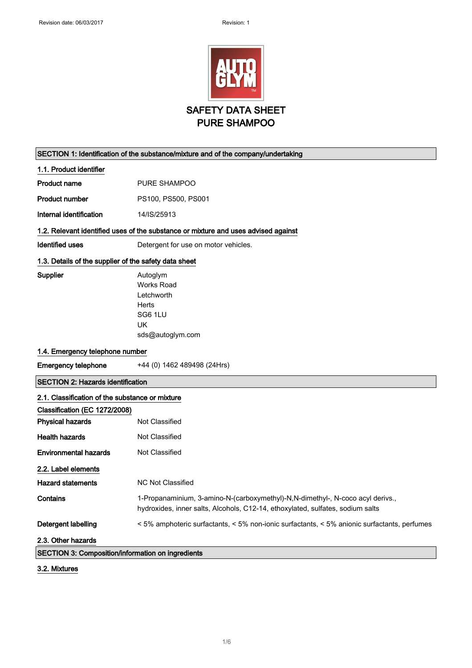

| SECTION 1: Identification of the substance/mixture and of the company/undertaking |                                                                                                                                                                  |
|-----------------------------------------------------------------------------------|------------------------------------------------------------------------------------------------------------------------------------------------------------------|
| 1.1. Product identifier                                                           |                                                                                                                                                                  |
| <b>Product name</b>                                                               | PURE SHAMPOO                                                                                                                                                     |
| <b>Product number</b>                                                             | PS100, PS500, PS001                                                                                                                                              |
| Internal identification                                                           | 14/IS/25913                                                                                                                                                      |
|                                                                                   | 1.2. Relevant identified uses of the substance or mixture and uses advised against                                                                               |
| <b>Identified uses</b>                                                            | Detergent for use on motor vehicles.                                                                                                                             |
|                                                                                   |                                                                                                                                                                  |
| 1.3. Details of the supplier of the safety data sheet                             |                                                                                                                                                                  |
| Supplier                                                                          | Autoglym<br><b>Works Road</b>                                                                                                                                    |
|                                                                                   | Letchworth                                                                                                                                                       |
|                                                                                   | <b>Herts</b>                                                                                                                                                     |
|                                                                                   | SG6 1LU                                                                                                                                                          |
|                                                                                   | <b>UK</b>                                                                                                                                                        |
|                                                                                   | sds@autoglym.com                                                                                                                                                 |
| 1.4. Emergency telephone number                                                   |                                                                                                                                                                  |
| <b>Emergency telephone</b>                                                        | +44 (0) 1462 489498 (24Hrs)                                                                                                                                      |
| <b>SECTION 2: Hazards identification</b>                                          |                                                                                                                                                                  |
| 2.1. Classification of the substance or mixture                                   |                                                                                                                                                                  |
| Classification (EC 1272/2008)                                                     |                                                                                                                                                                  |
| <b>Physical hazards</b>                                                           | Not Classified                                                                                                                                                   |
| <b>Health hazards</b>                                                             | Not Classified                                                                                                                                                   |
| Environmental hazards                                                             | Not Classified                                                                                                                                                   |
| 2.2. Label elements                                                               |                                                                                                                                                                  |
| <b>Hazard statements</b>                                                          | <b>NC Not Classified</b>                                                                                                                                         |
| Contains                                                                          | 1-Propanaminium, 3-amino-N-(carboxymethyl)-N,N-dimethyl-, N-coco acyl derivs.,<br>hydroxides, inner salts, Alcohols, C12-14, ethoxylated, sulfates, sodium salts |
| Detergent labelling                                                               | < 5% amphoteric surfactants, < 5% non-ionic surfactants, < 5% anionic surfactants, perfumes                                                                      |
| 2.3. Other hazards                                                                |                                                                                                                                                                  |
| SECTION 3: Composition/information on ingredients                                 |                                                                                                                                                                  |

3.2. Mixtures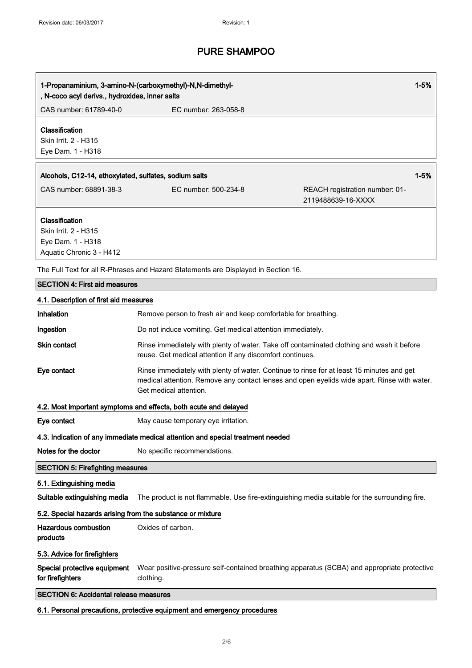| $1 - 5%$<br>1-Propanaminium, 3-amino-N-(carboxymethyl)-N,N-dimethyl-<br>, N-coco acyl derivs., hydroxides, inner salts |                                                                                                                     |                                                                                               |
|------------------------------------------------------------------------------------------------------------------------|---------------------------------------------------------------------------------------------------------------------|-----------------------------------------------------------------------------------------------|
| CAS number: 61789-40-0                                                                                                 | EC number: 263-058-8                                                                                                |                                                                                               |
| Classification<br>Skin Irrit. 2 - H315<br>Eye Dam. 1 - H318                                                            |                                                                                                                     |                                                                                               |
| $1 - 5%$<br>Alcohols, C12-14, ethoxylated, sulfates, sodium salts                                                      |                                                                                                                     |                                                                                               |
| CAS number: 68891-38-3                                                                                                 | EC number: 500-234-8                                                                                                | REACH registration number: 01-<br>2119488639-16-XXXX                                          |
| Classification<br>Skin Irrit. 2 - H315<br>Eye Dam. 1 - H318<br>Aquatic Chronic 3 - H412                                |                                                                                                                     |                                                                                               |
|                                                                                                                        | The Full Text for all R-Phrases and Hazard Statements are Displayed in Section 16.                                  |                                                                                               |
| <b>SECTION 4: First aid measures</b>                                                                                   |                                                                                                                     |                                                                                               |
| 4.1. Description of first aid measures                                                                                 |                                                                                                                     |                                                                                               |
| Inhalation                                                                                                             | Remove person to fresh air and keep comfortable for breathing.                                                      |                                                                                               |
| Ingestion                                                                                                              | Do not induce vomiting. Get medical attention immediately.                                                          |                                                                                               |
| Skin contact                                                                                                           | reuse. Get medical attention if any discomfort continues.                                                           | Rinse immediately with plenty of water. Take off contaminated clothing and wash it before     |
| Eye contact                                                                                                            | Rinse immediately with plenty of water. Continue to rinse for at least 15 minutes and get<br>Get medical attention. | medical attention. Remove any contact lenses and open eyelids wide apart. Rinse with water.   |
|                                                                                                                        | 4.2. Most important symptoms and effects, both acute and delayed                                                    |                                                                                               |
| Eye contact                                                                                                            | May cause temporary eye irritation.                                                                                 |                                                                                               |
|                                                                                                                        | 4.3. Indication of any immediate medical attention and special treatment needed                                     |                                                                                               |
| Notes for the doctor                                                                                                   | No specific recommendations.                                                                                        |                                                                                               |
| <b>SECTION 5: Firefighting measures</b>                                                                                |                                                                                                                     |                                                                                               |
| 5.1. Extinguishing media                                                                                               |                                                                                                                     |                                                                                               |
| Suitable extinguishing media                                                                                           |                                                                                                                     | The product is not flammable. Use fire-extinguishing media suitable for the surrounding fire. |
| 5.2. Special hazards arising from the substance or mixture                                                             |                                                                                                                     |                                                                                               |
| <b>Hazardous combustion</b><br>products                                                                                | Oxides of carbon.                                                                                                   |                                                                                               |
| 5.3. Advice for firefighters                                                                                           |                                                                                                                     |                                                                                               |
| Special protective equipment<br>for firefighters                                                                       | clothing.                                                                                                           | Wear positive-pressure self-contained breathing apparatus (SCBA) and appropriate protective   |
| <b>SECTION 6: Accidental release measures</b>                                                                          |                                                                                                                     |                                                                                               |

6.1. Personal precautions, protective equipment and emergency procedures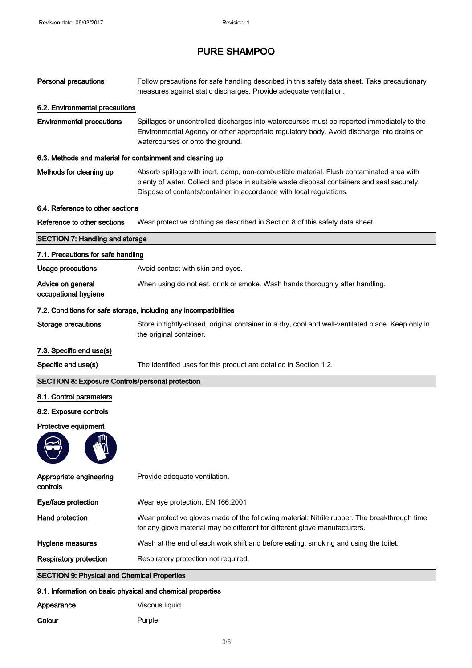| <b>Personal precautions</b>                                | Follow precautions for safe handling described in this safety data sheet. Take precautionary<br>measures against static discharges. Provide adequate ventilation.                                                                                              |
|------------------------------------------------------------|----------------------------------------------------------------------------------------------------------------------------------------------------------------------------------------------------------------------------------------------------------------|
| 6.2. Environmental precautions                             |                                                                                                                                                                                                                                                                |
| <b>Environmental precautions</b>                           | Spillages or uncontrolled discharges into watercourses must be reported immediately to the<br>Environmental Agency or other appropriate regulatory body. Avoid discharge into drains or<br>watercourses or onto the ground.                                    |
| 6.3. Methods and material for containment and cleaning up  |                                                                                                                                                                                                                                                                |
| Methods for cleaning up                                    | Absorb spillage with inert, damp, non-combustible material. Flush contaminated area with<br>plenty of water. Collect and place in suitable waste disposal containers and seal securely.<br>Dispose of contents/container in accordance with local regulations. |
| 6.4. Reference to other sections                           |                                                                                                                                                                                                                                                                |
| Reference to other sections                                | Wear protective clothing as described in Section 8 of this safety data sheet.                                                                                                                                                                                  |
| <b>SECTION 7: Handling and storage</b>                     |                                                                                                                                                                                                                                                                |
| 7.1. Precautions for safe handling                         |                                                                                                                                                                                                                                                                |
| <b>Usage precautions</b>                                   | Avoid contact with skin and eyes.                                                                                                                                                                                                                              |
| Advice on general<br>occupational hygiene                  | When using do not eat, drink or smoke. Wash hands thoroughly after handling.                                                                                                                                                                                   |
|                                                            | 7.2. Conditions for safe storage, including any incompatibilities                                                                                                                                                                                              |
| <b>Storage precautions</b>                                 | Store in tightly-closed, original container in a dry, cool and well-ventilated place. Keep only in<br>the original container.                                                                                                                                  |
| 7.3. Specific end use(s)                                   |                                                                                                                                                                                                                                                                |
|                                                            |                                                                                                                                                                                                                                                                |
| Specific end use(s)                                        | The identified uses for this product are detailed in Section 1.2.                                                                                                                                                                                              |
| <b>SECTION 8: Exposure Controls/personal protection</b>    |                                                                                                                                                                                                                                                                |
| 8.1. Control parameters                                    |                                                                                                                                                                                                                                                                |
| 8.2. Exposure controls                                     |                                                                                                                                                                                                                                                                |
| Protective equipment                                       |                                                                                                                                                                                                                                                                |
|                                                            |                                                                                                                                                                                                                                                                |
| Appropriate engineering<br>controls                        | Provide adequate ventilation.                                                                                                                                                                                                                                  |
| Eye/face protection                                        | Wear eye protection. EN 166:2001                                                                                                                                                                                                                               |
| <b>Hand protection</b>                                     | Wear protective gloves made of the following material: Nitrile rubber. The breakthrough time<br>for any glove material may be different for different glove manufacturers.                                                                                     |
| Hygiene measures                                           | Wash at the end of each work shift and before eating, smoking and using the toilet.                                                                                                                                                                            |
| <b>Respiratory protection</b>                              | Respiratory protection not required.                                                                                                                                                                                                                           |
| <b>SECTION 9: Physical and Chemical Properties</b>         |                                                                                                                                                                                                                                                                |
| 9.1. Information on basic physical and chemical properties |                                                                                                                                                                                                                                                                |
| Appearance                                                 | Viscous liquid.                                                                                                                                                                                                                                                |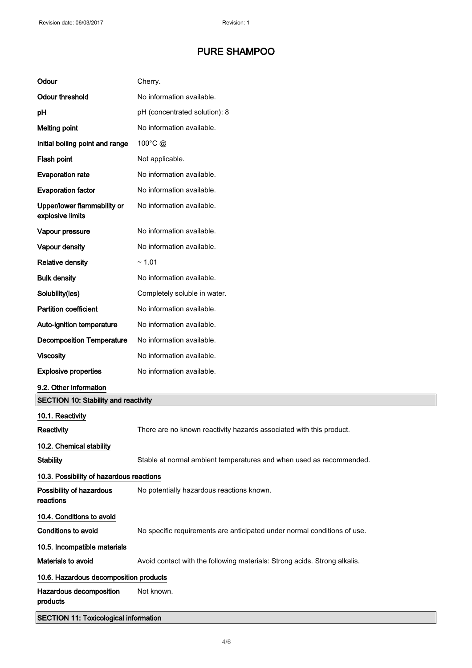| Odour                                           | Cherry.                                                                   |  |
|-------------------------------------------------|---------------------------------------------------------------------------|--|
| <b>Odour threshold</b>                          | No information available.                                                 |  |
| pH                                              | pH (concentrated solution): 8                                             |  |
| <b>Melting point</b>                            | No information available.                                                 |  |
| Initial boiling point and range                 | 100°C @                                                                   |  |
| Flash point                                     | Not applicable.                                                           |  |
| <b>Evaporation rate</b>                         | No information available.                                                 |  |
| <b>Evaporation factor</b>                       | No information available.                                                 |  |
| Upper/lower flammability or<br>explosive limits | No information available.                                                 |  |
| Vapour pressure                                 | No information available.                                                 |  |
| Vapour density                                  | No information available.                                                 |  |
| <b>Relative density</b>                         | ~1.01                                                                     |  |
| <b>Bulk density</b>                             | No information available.                                                 |  |
| Solubility(ies)                                 | Completely soluble in water.                                              |  |
| <b>Partition coefficient</b>                    | No information available.                                                 |  |
| Auto-ignition temperature                       | No information available.                                                 |  |
| <b>Decomposition Temperature</b>                | No information available.                                                 |  |
| <b>Viscosity</b>                                | No information available.                                                 |  |
| <b>Explosive properties</b>                     | No information available.                                                 |  |
| 9.2. Other information                          |                                                                           |  |
| <b>SECTION 10: Stability and reactivity</b>     |                                                                           |  |
| 10.1. Reactivity                                |                                                                           |  |
| Reactivity                                      | There are no known reactivity hazards associated with this product.       |  |
| 10.2. Chemical stability                        |                                                                           |  |
| <b>Stability</b>                                | Stable at normal ambient temperatures and when used as recommended.       |  |
| 10.3. Possibility of hazardous reactions        |                                                                           |  |
| Possibility of hazardous<br>reactions           | No potentially hazardous reactions known.                                 |  |
| 10.4. Conditions to avoid                       |                                                                           |  |
| Conditions to avoid                             | No specific requirements are anticipated under normal conditions of use.  |  |
| 10.5. Incompatible materials                    |                                                                           |  |
| Materials to avoid                              | Avoid contact with the following materials: Strong acids. Strong alkalis. |  |
| 10.6. Hazardous decomposition products          |                                                                           |  |
| Hazardous decomposition<br>products             | Not known.                                                                |  |
| <b>SECTION 11: Toxicological information</b>    |                                                                           |  |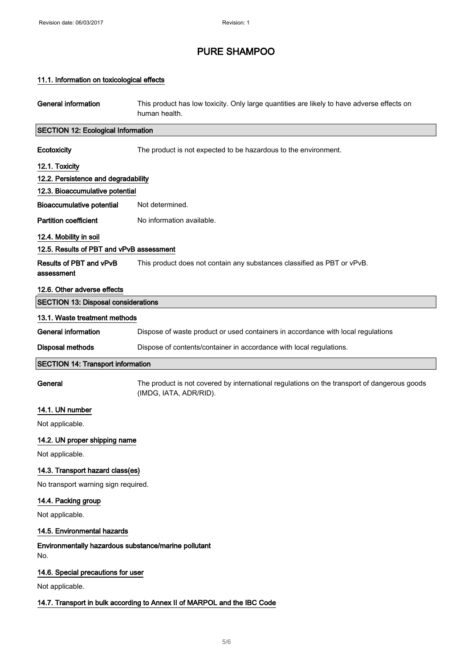## 11.1. Information on toxicological effects

| General information                                                      | This product has low toxicity. Only large quantities are likely to have adverse effects on<br>human health.           |  |
|--------------------------------------------------------------------------|-----------------------------------------------------------------------------------------------------------------------|--|
| <b>SECTION 12: Ecological Information</b>                                |                                                                                                                       |  |
| Ecotoxicity                                                              | The product is not expected to be hazardous to the environment.                                                       |  |
| 12.1. Toxicity                                                           |                                                                                                                       |  |
| 12.2. Persistence and degradability                                      |                                                                                                                       |  |
| 12.3. Bioaccumulative potential                                          |                                                                                                                       |  |
| <b>Bioaccumulative potential</b>                                         | Not determined.                                                                                                       |  |
| <b>Partition coefficient</b>                                             | No information available.                                                                                             |  |
| 12.4. Mobility in soil                                                   |                                                                                                                       |  |
| 12.5. Results of PBT and vPvB assessment                                 |                                                                                                                       |  |
| Results of PBT and vPvB<br>assessment                                    | This product does not contain any substances classified as PBT or vPvB.                                               |  |
| 12.6. Other adverse effects                                              |                                                                                                                       |  |
| <b>SECTION 13: Disposal considerations</b>                               |                                                                                                                       |  |
| 13.1. Waste treatment methods                                            |                                                                                                                       |  |
| <b>General information</b>                                               | Dispose of waste product or used containers in accordance with local regulations                                      |  |
| <b>Disposal methods</b>                                                  | Dispose of contents/container in accordance with local regulations.                                                   |  |
| <b>SECTION 14: Transport information</b>                                 |                                                                                                                       |  |
| General                                                                  | The product is not covered by international regulations on the transport of dangerous goods<br>(IMDG, IATA, ADR/RID). |  |
| 14.1. UN number                                                          |                                                                                                                       |  |
| Not applicable.                                                          |                                                                                                                       |  |
| 14.2. UN proper shipping name                                            |                                                                                                                       |  |
| Not applicable.                                                          |                                                                                                                       |  |
| 14.3. Transport hazard class(es)                                         |                                                                                                                       |  |
| No transport warning sign required.                                      |                                                                                                                       |  |
| 14.4. Packing group                                                      |                                                                                                                       |  |
| Not applicable.                                                          |                                                                                                                       |  |
| 14.5. Environmental hazards                                              |                                                                                                                       |  |
| Environmentally hazardous substance/marine pollutant<br>No.              |                                                                                                                       |  |
| 14.6. Special precautions for user                                       |                                                                                                                       |  |
| Not applicable.                                                          |                                                                                                                       |  |
| 14.7. Transport in bulk according to Annex II of MARPOL and the IBC Code |                                                                                                                       |  |
|                                                                          |                                                                                                                       |  |